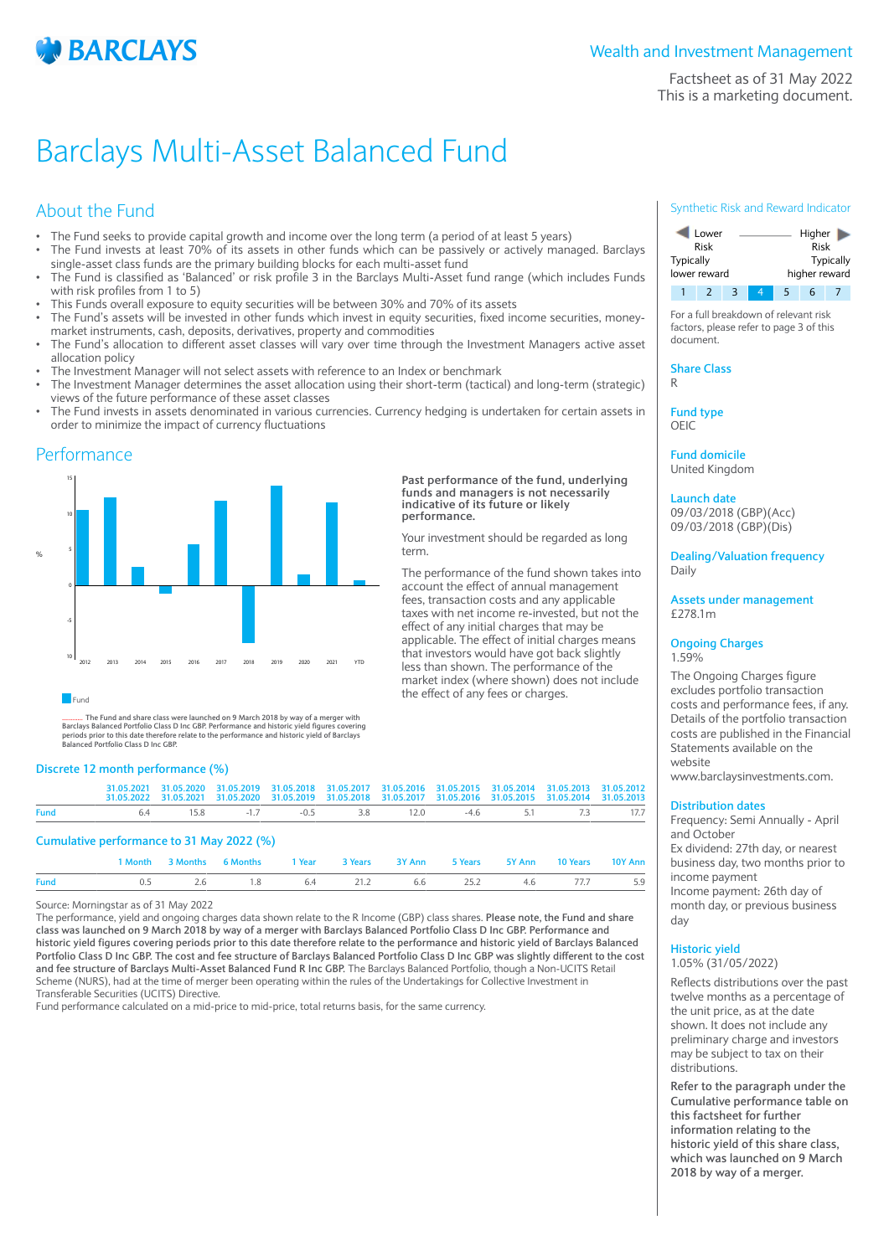

Factsheet as of 31 May 2022 This is a marketing document.

# Barclays Multi-Asset Balanced Fund

# About the Fund

- The Fund seeks to provide capital growth and income over the long term (a period of at least 5 years)
- The Fund invests at least 70% of its assets in other funds which can be passively or actively managed. Barclays single-asset class funds are the primary building blocks for each multi-asset fund
- The Fund is classified as 'Balanced' or risk profile 3 in the Barclays Multi-Asset fund range (which includes Funds with risk profiles from 1 to 5)
- This Funds overall exposure to equity securities will be between 30% and 70% of its assets
- The Fund's assets will be invested in other funds which invest in equity securities, fixed income securities, moneymarket instruments, cash, deposits, derivatives, property and commodities
- The Fund's allocation to different asset classes will vary over time through the Investment Managers active asset allocation policy
- The Investment Manager will not select assets with reference to an Index or benchmark
- The Investment Manager determines the asset allocation using their short-term (tactical) and long-term (strategic) views of the future performance of these asset classes
- The Fund invests in assets denominated in various currencies. Currency hedging is undertaken for certain assets in order to minimize the impact of currency fluctuations

**Past performance of the fund, underlying funds and managers is not necessarily indicative of its future or likely**

Your investment should be regarded as long

The performance of the fund shown takes into account the effect of annual management fees, transaction costs and any applicable taxes with net income re-invested, but not the effect of any initial charges that may be applicable. The effect of initial charges means that investors would have got back slightly less than shown. The performance of the market index (where shown) does not include

the effect of any fees or charges.

**performance.**

term.

## Performance



**Fund** 

............ **The Fund and share class were launched on 9 March 2018 by way of a merger with** Barclays Balanced Portfolio Class D Inc GBP. Performance and historic yield figures covering<br>periods prior to this date therefore relate to the performance and historic yield of Barclays<br>Balanced Portfolio Class D Inc GBP.

## **Discrete 12 month performance (%)**

|             |                                               | 31.05.2021 31.05.2020 31.05.2019 31.05.2018 31.05.2017 31.05.2016 31.05.2015 31.05.2014 31.05.2013 31.05.2012<br>31.05.2022 31.05.2021 31.05.2020 31.05.2019 31.05.2018 31.05.2017 31.05.2016 31.05.2015 31.05.2014 31.05.2013 |  |  |  |  |
|-------------|-----------------------------------------------|--------------------------------------------------------------------------------------------------------------------------------------------------------------------------------------------------------------------------------|--|--|--|--|
| <b>Fund</b> | 6.4 15.8 -1.7 -0.5 3.8 12.0 -4.6 5.1 7.3 17.7 |                                                                                                                                                                                                                                |  |  |  |  |
|             |                                               |                                                                                                                                                                                                                                |  |  |  |  |

## **Cumulative performance to 31 May 2022 (%)**

|             |                                            | 1 Month 3 Months 6 Months 1 Year 3 Years 3 Y Ann 5 Years 5 Y Ann 10 Years 10 Y Ann |  |  |  |  |
|-------------|--------------------------------------------|------------------------------------------------------------------------------------|--|--|--|--|
| <b>Fund</b> | 0.5 2.6 1.8 6.4 21.2 6.6 25.2 4.6 77.7 5.9 |                                                                                    |  |  |  |  |

Source: Morningstar as of 31 May 2022

The performance, yield and ongoing charges data shown relate to the R Income (GBP) class shares. **Please note, the Fund and share class was launched on 9 March 2018 by way of a merger with Barclays Balanced Portfolio Class D Inc GBP. Performance and historic yield figures covering periods prior to this date therefore relate to the performance and historic yield of Barclays Balanced Portfolio Class D Inc GBP. The cost and fee structure of Barclays Balanced Portfolio Class D Inc GBP was slightly different to the cost and fee structure of Barclays Multi-Asset Balanced Fund R Inc GBP.** The Barclays Balanced Portfolio, though a Non-UCITS Retail Scheme (NURS), had at the time of merger been operating within the rules of the Undertakings for Collective Investment in Transferable Securities (UCITS) Directive.

Fund performance calculated on a mid-price to mid-price, total returns basis, for the same currency.

## Synthetic Risk and Reward Indicator



For a full breakdown of relevant risk factors, please refer to page 3 of this document.

**Share Class** R

**Fund type**

OEIC

**Fund domicile** United Kingdom

**Launch date** 09/03/2018 (GBP)(Acc)

09/03/2018 (GBP)(Dis)

**Dealing/Valuation frequency** Daily

**Assets under management** £278.1m

#### **Ongoing Charges** 1.59%

The Ongoing Charges figure excludes portfolio transaction costs and performance fees, if any. Details of the portfolio transaction costs are published in the Financial Statements available on the website

www.barclaysinvestments.com.

## **Distribution dates**

Frequency: Semi Annually - April and October Ex dividend: 27th day, or nearest business day, two months prior to income payment Income payment: 26th day of month day, or previous business day

#### **Historic yield** 1.05% (31/05/2022)

Reflects distributions over the past twelve months as a percentage of the unit price, as at the date shown. It does not include any preliminary charge and investors may be subject to tax on their distributions.

**Refer to the paragraph under the Cumulative performance table on this factsheet for further information relating to the historic yield of this share class, which was launched on 9 March 2018 by way of a merger.**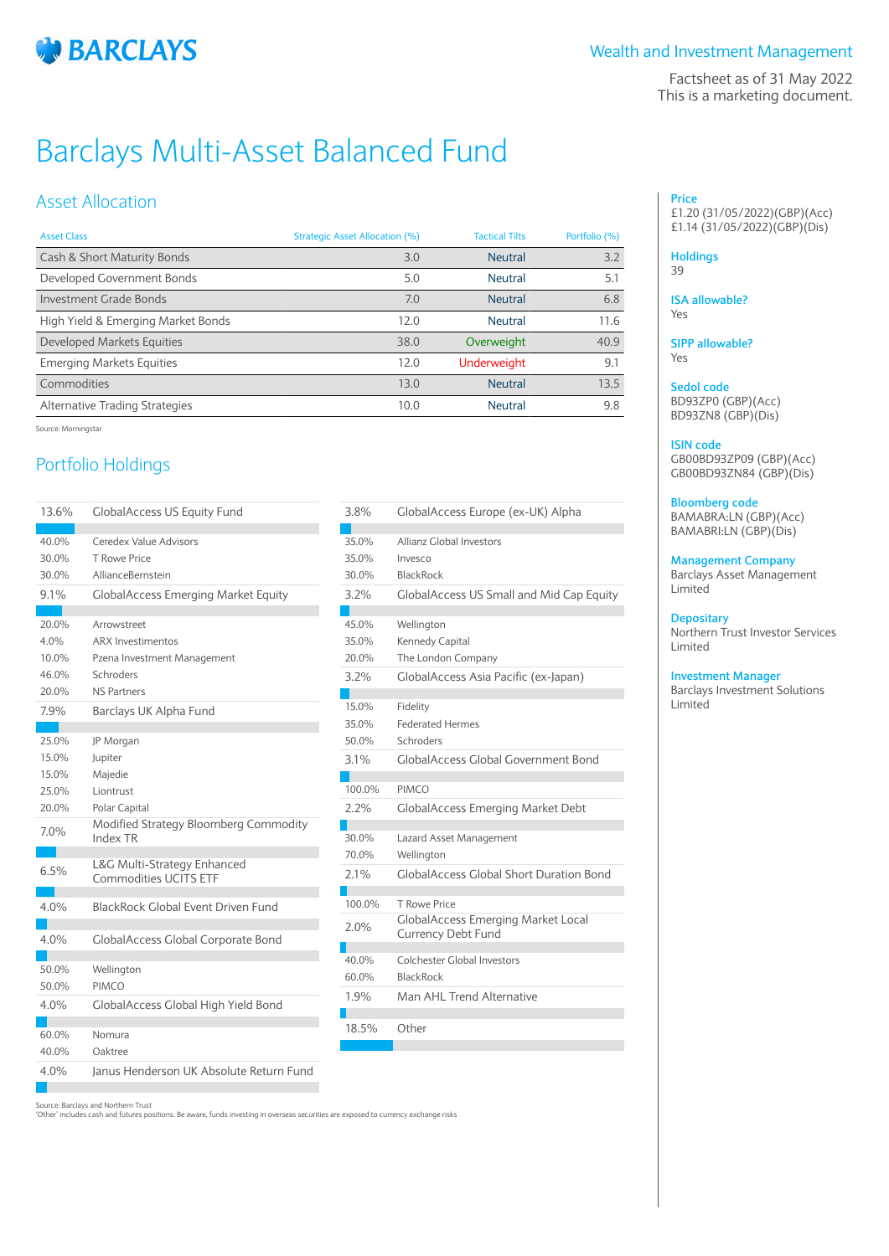

Factsheet as of 31 May 2022 This is a marketing document.

# Barclays Multi-Asset Balanced Fund

# Asset Allocation

| <b>Asset Class</b>                 | Strategic Asset Allocation (%) | <b>Tactical Tilts</b> | Portfolio (%) |
|------------------------------------|--------------------------------|-----------------------|---------------|
| Cash & Short Maturity Bonds        | 3.0                            | <b>Neutral</b>        | 3.2           |
| Developed Government Bonds         | 5.0                            | Neutral               | 5.1           |
| <b>Investment Grade Bonds</b>      | 7.0                            | Neutral               | 6.8           |
| High Yield & Emerging Market Bonds | 12.0                           | Neutral               | 11.6          |
| <b>Developed Markets Equities</b>  | 38.0                           | Overweight            | 40.9          |
| <b>Emerging Markets Equities</b>   | 12.0                           | <b>Underweight</b>    | 9.1           |
| Commodities                        | 13.0                           | Neutral               | 13.5          |
| Alternative Trading Strategies     | 10.0                           | <b>Neutral</b>        | 9.8           |
|                                    |                                |                       |               |

Source: Morningstar

# Portfolio Holdings

| 13.6% | <b>GlobalAccess US Equity Fund</b>         | 3.8%   | GlobalAccess Europe (ex-UK) Alpha         |
|-------|--------------------------------------------|--------|-------------------------------------------|
| 40.0% | Ceredex Value Advisors                     | 35.0%  | Allianz Global Investors                  |
| 30.0% | T Rowe Price                               | 35.0%  | Invesco                                   |
| 30.0% | AllianceBernstein                          | 30.0%  | <b>BlackRock</b>                          |
| 9.1%  | <b>GlobalAccess Emerging Market Equity</b> | 3.2%   | <b>GlobalAccess US Small and Mid Cap</b>  |
|       |                                            |        |                                           |
| 20.0% | Arrowstreet                                | 45.0%  | Wellington                                |
| 4.0%  | <b>ARX Investimentos</b>                   | 35.0%  | Kennedy Capital                           |
| 10.0% | Pzena Investment Management                | 20.0%  | The London Company                        |
| 46.0% | Schroders                                  | 3.2%   | GlobalAccess Asia Pacific (ex-Japan)      |
| 20.0% | <b>NS Partners</b>                         |        |                                           |
| 7.9%  | Barclays UK Alpha Fund                     | 15.0%  | Fidelity                                  |
|       |                                            | 35.0%  | <b>Federated Hermes</b>                   |
| 25.0% | JP Morgan                                  | 50.0%  | Schroders                                 |
| 15.0% | Jupiter                                    | 3.1%   | <b>GlobalAccess Global Government Bo</b>  |
| 15.0% | Majedie                                    |        |                                           |
| 25.0% | Liontrust                                  | 100.0% | <b>PIMCO</b>                              |
| 20.0% | Polar Capital                              | 2.2%   | <b>GlobalAccess Emerging Market Debt</b>  |
| 7.0%  | Modified Strategy Bloomberg Commodity      |        |                                           |
|       | Index TR                                   | 30.0%  | Lazard Asset Management                   |
| 6.5%  | L&G Multi-Strategy Enhanced                | 70.0%  | Wellington                                |
|       | <b>Commodities UCITS ETF</b>               | 2.1%   | <b>GlobalAccess Global Short Duration</b> |
| 4.0%  | <b>BlackRock Global Event Driven Fund</b>  | 100.0% | T Rowe Price                              |
|       |                                            |        | <b>GlobalAccess Emerging Market Loca</b>  |
| 4.0%  | <b>GlobalAccess Global Corporate Bond</b>  | 2.0%   | <b>Currency Debt Fund</b>                 |
|       |                                            |        |                                           |
| 50.0% | Wellington                                 | 40.0%  | <b>Colchester Global Investors</b>        |
| 50.0% | PIMCO                                      | 60.0%  | <b>BlackRock</b>                          |
| 4.0%  | GlobalAccess Global High Yield Bond        | 1.9%   | Man AHL Trend Alternative                 |
|       |                                            |        |                                           |
| 60.0% | Nomura                                     | 18.5%  | Other                                     |
| 40.0% | Oaktree                                    |        |                                           |
| 4.0%  | Janus Henderson UK Absolute Return Fund    |        |                                           |
|       |                                            |        |                                           |

and Mid Cap Equity ic (ex-Japan) ernment Bond Market Debt ort Duration Bond Market Local

## **Price** £1.20 (31/05/2022)(GBP)(Acc) £1.14 (31/05/2022)(GBP)(Dis)

## **Holdings**

39

### **ISA allowable?** Yes

**SIPP allowable?** Yes

## **Sedol code** BD93ZP0 (GBP)(Acc) BD93ZN8 (GBP)(Dis)

**ISIN code** GB00BD93ZP09 (GBP)(Acc) GB00BD93ZN84 (GBP)(Dis)

## **Bloomberg code**

BAMABRA:LN (GBP)(Acc) BAMABRI:LN (GBP)(Dis)

**Management Company**

Barclays Asset Management Limited

## **Depositary**

Northern Trust Investor Services Limited

## **Investment Manager**

Barclays Investment Solutions Limited

Source: Barclays and Northern Trust

'Other' includes cash and futures positions. Be aware, funds investing in overseas securities are exposed to currency exchange risks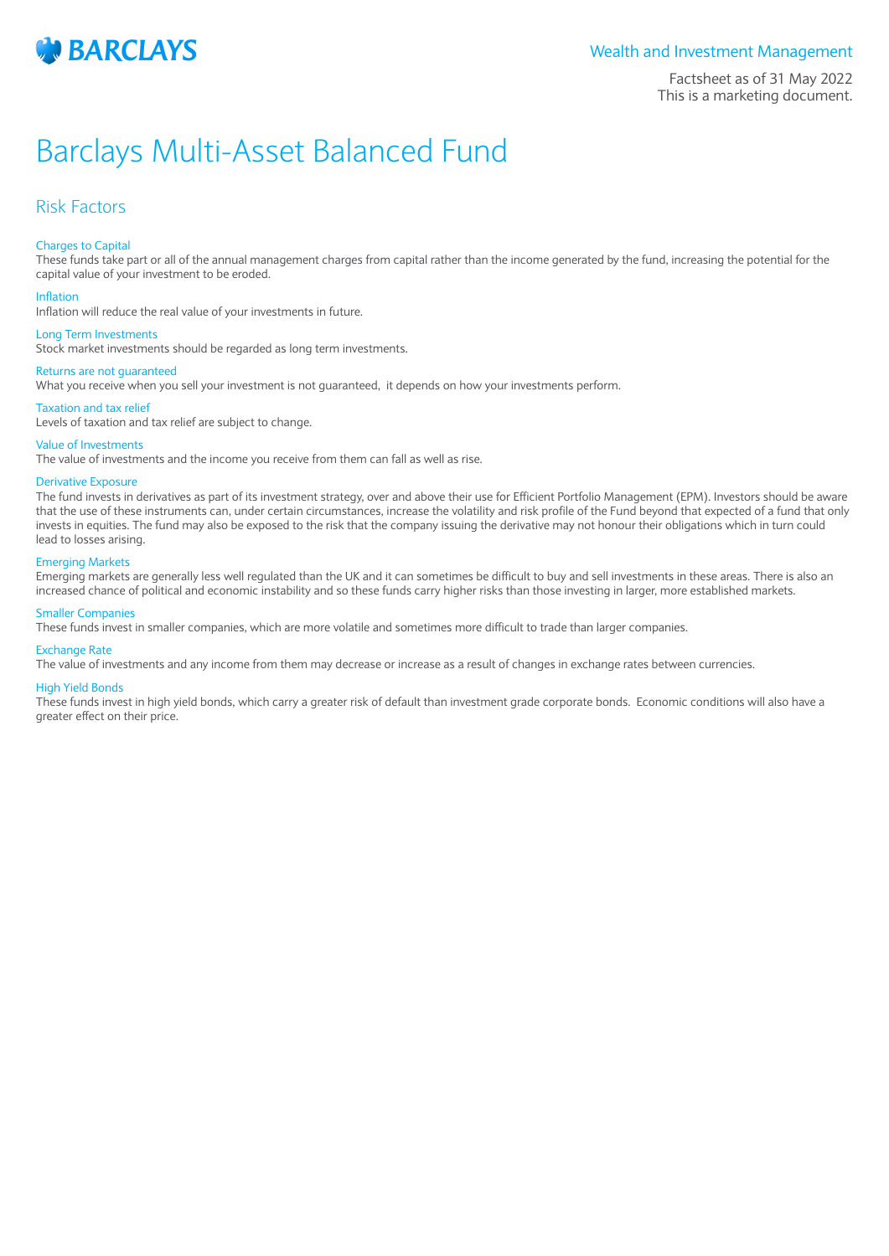

Factsheet as of 31 May 2022 This is a marketing document.

# Barclays Multi-Asset Balanced Fund

## Risk Factors

### Charges to Capital

These funds take part or all of the annual management charges from capital rather than the income generated by the fund, increasing the potential for the capital value of your investment to be eroded.

### Inflation

Inflation will reduce the real value of your investments in future.

#### Long Term Investments

Stock market investments should be regarded as long term investments.

## Returns are not guaranteed

What you receive when you sell your investment is not guaranteed, it depends on how your investments perform.

#### Taxation and tax relief

Levels of taxation and tax relief are subject to change.

### Value of Investments

The value of investments and the income you receive from them can fall as well as rise.

## Derivative Exposure

The fund invests in derivatives as part of its investment strategy, over and above their use for Efficient Portfolio Management (EPM). Investors should be aware that the use of these instruments can, under certain circumstances, increase the volatility and risk profile of the Fund beyond that expected of a fund that only invests in equities. The fund may also be exposed to the risk that the company issuing the derivative may not honour their obligations which in turn could lead to losses arising.

### Emerging Markets

Emerging markets are generally less well regulated than the UK and it can sometimes be difficult to buy and sell investments in these areas. There is also an increased chance of political and economic instability and so these funds carry higher risks than those investing in larger, more established markets.

## Smaller Companies

These funds invest in smaller companies, which are more volatile and sometimes more difficult to trade than larger companies.

#### Exchange Rate

The value of investments and any income from them may decrease or increase as a result of changes in exchange rates between currencies.

#### High Yield Bonds

These funds invest in high yield bonds, which carry a greater risk of default than investment grade corporate bonds. Economic conditions will also have a greater effect on their price.